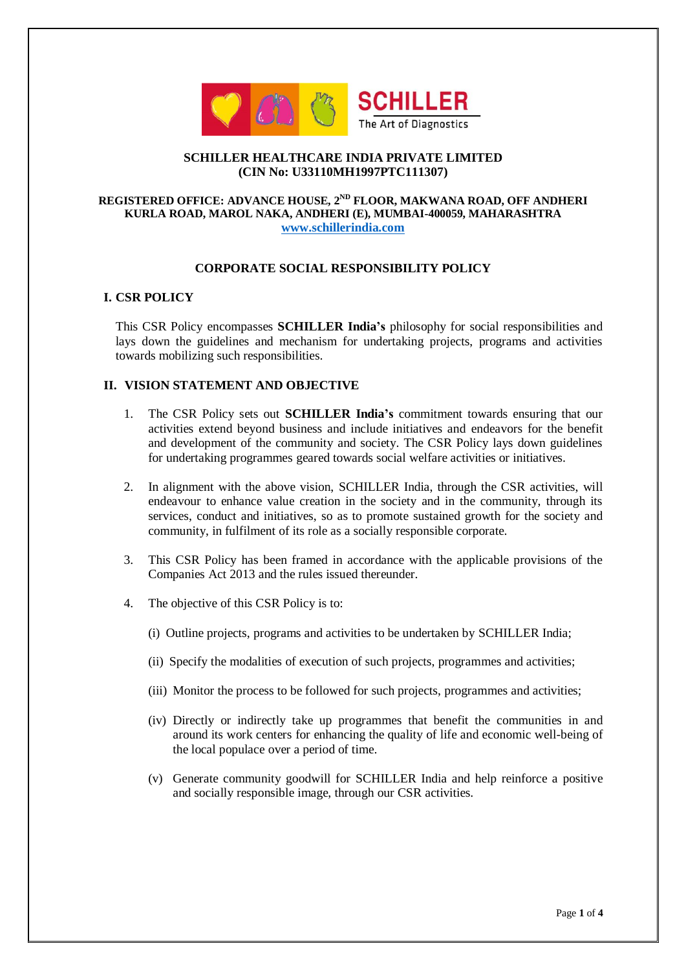

## **SCHILLER HEALTHCARE INDIA PRIVATE LIMITED (CIN No: U33110MH1997PTC111307)**

# **REGISTERED OFFICE: ADVANCE HOUSE, 2ND FLOOR, MAKWANA ROAD, OFF ANDHERI KURLA ROAD, MAROL NAKA, ANDHERI (E), MUMBAI-400059, MAHARASHTRA [www.schillerindia.com](http://www.schillerindia.com/)**

# **CORPORATE SOCIAL RESPONSIBILITY POLICY**

### **I. CSR POLICY**

This CSR Policy encompasses **SCHILLER India's** philosophy for social responsibilities and lays down the guidelines and mechanism for undertaking projects, programs and activities towards mobilizing such responsibilities.

## **II. VISION STATEMENT AND OBJECTIVE**

- 1. The CSR Policy sets out **SCHILLER India's** commitment towards ensuring that our activities extend beyond business and include initiatives and endeavors for the benefit and development of the community and society. The CSR Policy lays down guidelines for undertaking programmes geared towards social welfare activities or initiatives.
- 2. In alignment with the above vision, SCHILLER India, through the CSR activities, will endeavour to enhance value creation in the society and in the community, through its services, conduct and initiatives, so as to promote sustained growth for the society and community, in fulfilment of its role as a socially responsible corporate.
- 3. This CSR Policy has been framed in accordance with the applicable provisions of the Companies Act 2013 and the rules issued thereunder.
- 4. The objective of this CSR Policy is to:
	- (i) Outline projects, programs and activities to be undertaken by SCHILLER India;
	- (ii) Specify the modalities of execution of such projects, programmes and activities;
	- (iii) Monitor the process to be followed for such projects, programmes and activities;
	- (iv) Directly or indirectly take up programmes that benefit the communities in and around its work centers for enhancing the quality of life and economic well-being of the local populace over a period of time.
	- (v) Generate community goodwill for SCHILLER India and help reinforce a positive and socially responsible image, through our CSR activities.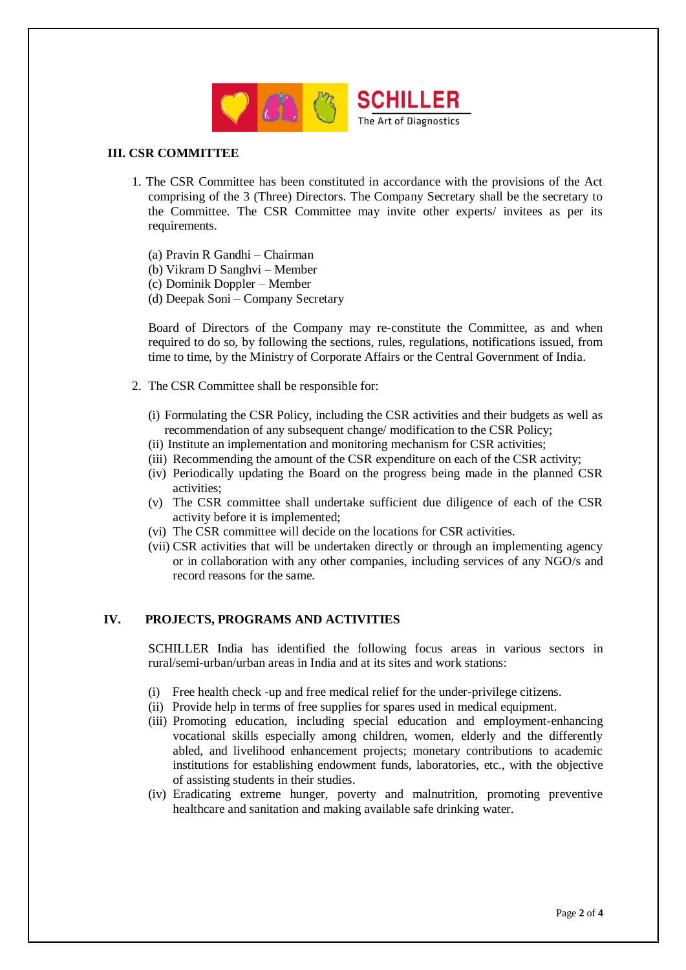

# **III. CSR COMMITTEE**

- 1. The CSR Committee has been constituted in accordance with the provisions of the Act comprising of the 3 (Three) Directors. The Company Secretary shall be the secretary to the Committee. The CSR Committee may invite other experts/ invitees as per its requirements.
	- (a) Pravin R Gandhi Chairman
	- (b) Vikram D Sanghvi Member
	- (c) Dominik Doppler Member
	- (d) Deepak Soni Company Secretary

Board of Directors of the Company may re-constitute the Committee, as and when required to do so, by following the sections, rules, regulations, notifications issued, from time to time, by the Ministry of Corporate Affairs or the Central Government of India.

- 2. The CSR Committee shall be responsible for:
	- (i) Formulating the CSR Policy, including the CSR activities and their budgets as well as recommendation of any subsequent change/ modification to the CSR Policy;
	- (ii) Institute an implementation and monitoring mechanism for CSR activities;
	- (iii) Recommending the amount of the CSR expenditure on each of the CSR activity;
	- (iv) Periodically updating the Board on the progress being made in the planned CSR activities;
	- (v) The CSR committee shall undertake sufficient due diligence of each of the CSR activity before it is implemented;
	- (vi) The CSR committee will decide on the locations for CSR activities.
	- (vii) CSR activities that will be undertaken directly or through an implementing agency or in collaboration with any other companies, including services of any NGO/s and record reasons for the same.

### **IV. PROJECTS, PROGRAMS AND ACTIVITIES**

SCHILLER India has identified the following focus areas in various sectors in rural/semi-urban/urban areas in India and at its sites and work stations:

- (i) Free health check -up and free medical relief for the under-privilege citizens.
- (ii) Provide help in terms of free supplies for spares used in medical equipment.
- (iii) Promoting education, including special education and employment-enhancing vocational skills especially among children, women, elderly and the differently abled, and livelihood enhancement projects; monetary contributions to academic institutions for establishing endowment funds, laboratories, etc., with the objective of assisting students in their studies.
- (iv) Eradicating extreme hunger, poverty and malnutrition, promoting preventive healthcare and sanitation and making available safe drinking water.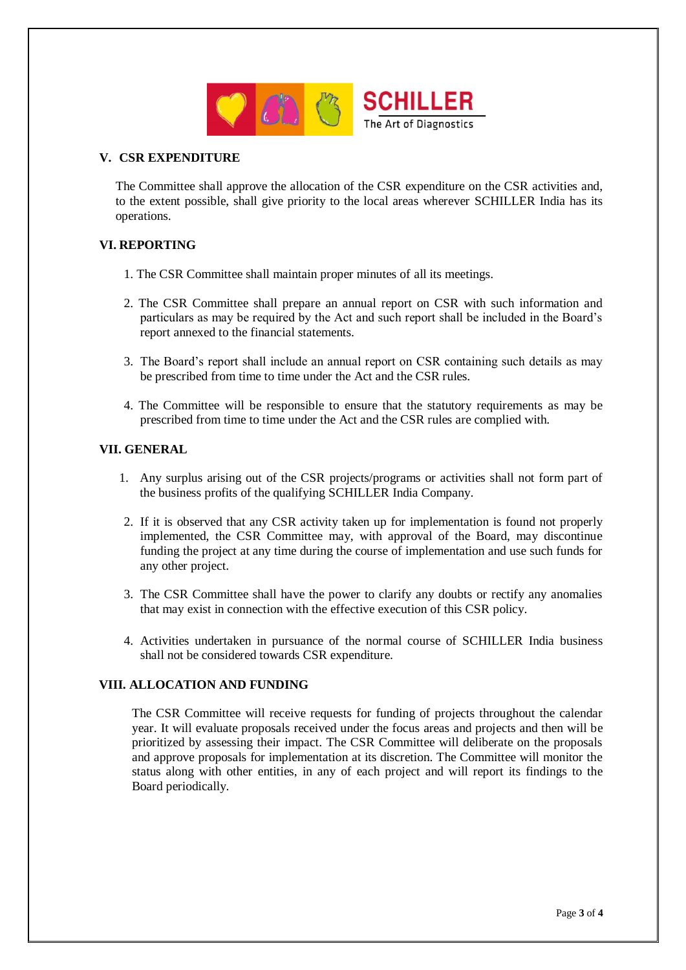

#### **V. CSR EXPENDITURE**

The Committee shall approve the allocation of the CSR expenditure on the CSR activities and, to the extent possible, shall give priority to the local areas wherever SCHILLER India has its operations.

### **VI. REPORTING**

- 1. The CSR Committee shall maintain proper minutes of all its meetings.
- 2. The CSR Committee shall prepare an annual report on CSR with such information and particulars as may be required by the Act and such report shall be included in the Board's report annexed to the financial statements.
- 3. The Board's report shall include an annual report on CSR containing such details as may be prescribed from time to time under the Act and the CSR rules.
- 4. The Committee will be responsible to ensure that the statutory requirements as may be prescribed from time to time under the Act and the CSR rules are complied with.

#### **VII. GENERAL**

- 1. Any surplus arising out of the CSR projects/programs or activities shall not form part of the business profits of the qualifying SCHILLER India Company.
- 2. If it is observed that any CSR activity taken up for implementation is found not properly implemented, the CSR Committee may, with approval of the Board, may discontinue funding the project at any time during the course of implementation and use such funds for any other project.
- 3. The CSR Committee shall have the power to clarify any doubts or rectify any anomalies that may exist in connection with the effective execution of this CSR policy.
- 4. Activities undertaken in pursuance of the normal course of SCHILLER India business shall not be considered towards CSR expenditure.

## **VIII. ALLOCATION AND FUNDING**

The CSR Committee will receive requests for funding of projects throughout the calendar year. It will evaluate proposals received under the focus areas and projects and then will be prioritized by assessing their impact. The CSR Committee will deliberate on the proposals and approve proposals for implementation at its discretion. The Committee will monitor the status along with other entities, in any of each project and will report its findings to the Board periodically.